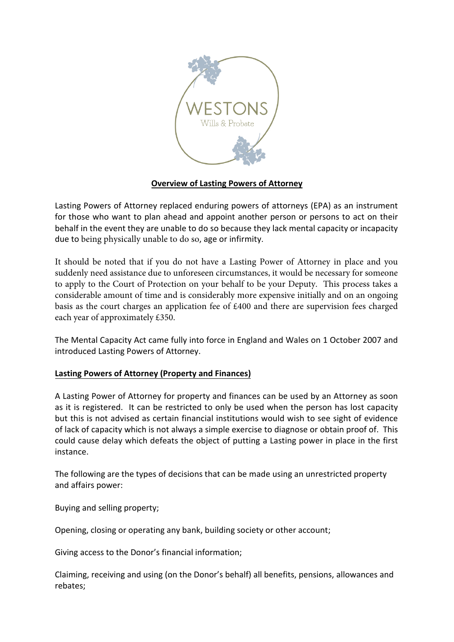

## **Overview of Lasting Powers of Attorney**

Lasting Powers of Attorney replaced enduring powers of attorneys (EPA) as an instrument for those who want to plan ahead and appoint another person or persons to act on their behalf in the event they are unable to do so because they lack mental capacity or incapacity due to being physically unable to do so, age or infirmity.

It should be noted that if you do not have a Lasting Power of Attorney in place and you suddenly need assistance due to unforeseen circumstances, it would be necessary for someone to apply to the Court of Protection on your behalf to be your Deputy. This process takes a considerable amount of time and is considerably more expensive initially and on an ongoing basis as the court charges an application fee of £400 and there are supervision fees charged each year of approximately £350.

The Mental Capacity Act came fully into force in England and Wales on 1 October 2007 and introduced Lasting Powers of Attorney.

## **Lasting Powers of Attorney (Property and Finances)**

A Lasting Power of Attorney for property and finances can be used by an Attorney as soon as it is registered. It can be restricted to only be used when the person has lost capacity but this is not advised as certain financial institutions would wish to see sight of evidence of lack of capacity which is not always a simple exercise to diagnose or obtain proof of. This could cause delay which defeats the object of putting a Lasting power in place in the first instance.

The following are the types of decisions that can be made using an unrestricted property and affairs power:

Buying and selling property;

Opening, closing or operating any bank, building society or other account;

Giving access to the Donor's financial information;

Claiming, receiving and using (on the Donor's behalf) all benefits, pensions, allowances and rebates;